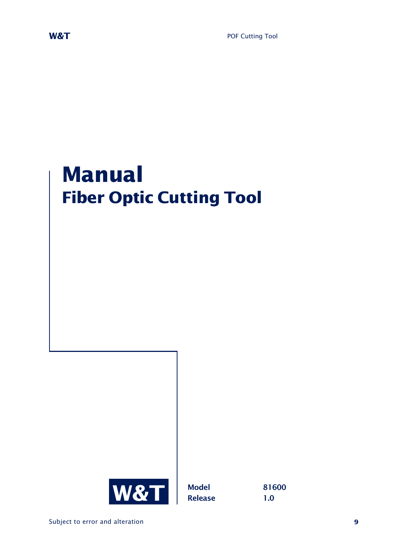# **Manual Fiber Optic Cutting Tool**

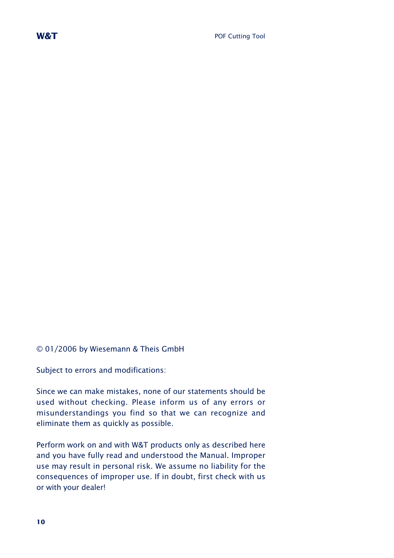

© 01/2006 by Wiesemann & Theis GmbH

Subject to errors and modifications:

Since we can make mistakes, none of our statements should be used without checking. Please inform us of any errors or misunderstandings you find so that we can recognize and eliminate them as quickly as possible.

Perform work on and with W&T products only as described here and you have fully read and understood the Manual. Improper use may result in personal risk. We assume no liability for the consequences of improper use. If in doubt, first check with us or with your dealer!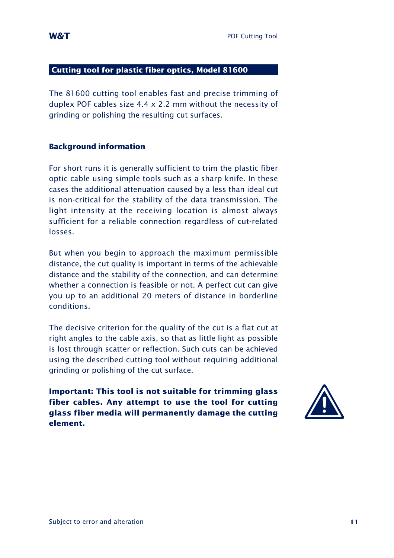#### **Cutting tool for plastic fiber optics, Model 81600**

The 81600 cutting tool enables fast and precise trimming of duplex POF cables size 4.4 x 2.2 mm without the necessity of grinding or polishing the resulting cut surfaces.

#### **Background information**

For short runs it is generally sufficient to trim the plastic fiber optic cable using simple tools such as a sharp knife. In these cases the additional attenuation caused by a less than ideal cut is non-critical for the stability of the data transmission. The light intensity at the receiving location is almost always sufficient for a reliable connection regardless of cut-related losses.

But when you begin to approach the maximum permissible distance, the cut quality is important in terms of the achievable distance and the stability of the connection, and can determine whether a connection is feasible or not. A perfect cut can give you up to an additional 20 meters of distance in borderline conditions.

The decisive criterion for the quality of the cut is a flat cut at right angles to the cable axis, so that as little light as possible is lost through scatter or reflection. Such cuts can be achieved using the described cutting tool without requiring additional grinding or polishing of the cut surface.

**Important: This tool is not suitable for trimming glass fiber cables. Any attempt to use the tool for cutting glass fiber media will permanently damage the cutting element.**

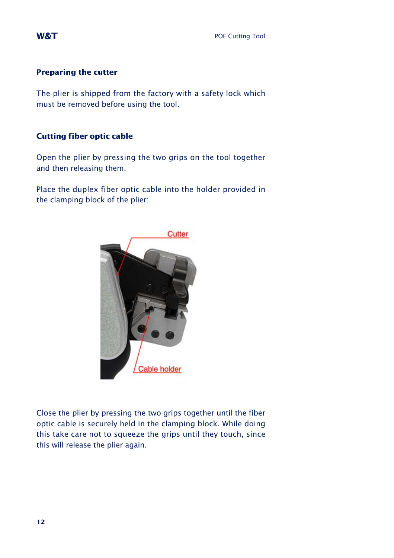#### **Preparing the cutter**

The plier is shipped from the factory with a safety lock which must be removed before using the tool.

#### **Cutting fiber optic cable**

Open the plier by pressing the two grips on the tool together and then releasing them.

Place the duplex fiber optic cable into the holder provided in the clamping block of the plier:



Close the plier by pressing the two grips together until the fiber optic cable is securely held in the clamping block. While doing this take care not to squeeze the grips until they touch, since this will release the plier again.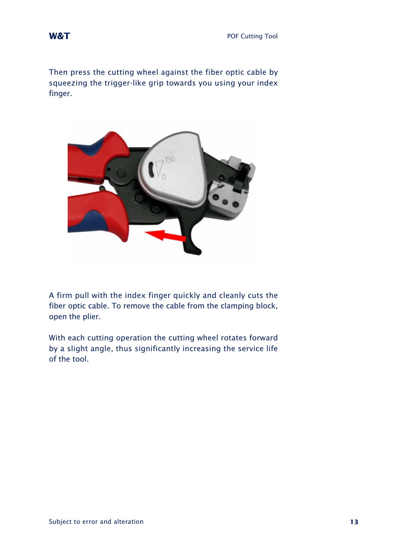Then press the cutting wheel against the fiber optic cable by squeezing the trigger-like grip towards you using your index finger.



A firm pull with the index finger quickly and cleanly cuts the fiber optic cable. To remove the cable from the clamping block, open the plier.

With each cutting operation the cutting wheel rotates forward by a slight angle, thus significantly increasing the service life of the tool.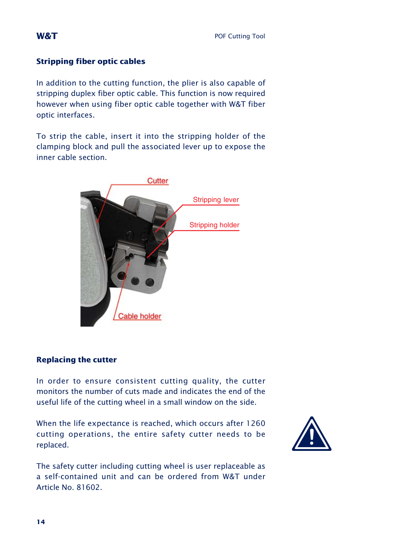### **Stripping fiber optic cables**

In addition to the cutting function, the plier is also capable of stripping duplex fiber optic cable. This function is now required however when using fiber optic cable together with W&T fiber optic interfaces.

To strip the cable, insert it into the stripping holder of the clamping block and pull the associated lever up to expose the inner cable section.



#### **Replacing the cutter**

In order to ensure consistent cutting quality, the cutter monitors the number of cuts made and indicates the end of the useful life of the cutting wheel in a small window on the side.

When the life expectance is reached, which occurs after 1260 cutting operations, the entire safety cutter needs to be replaced.



The safety cutter including cutting wheel is user replaceable as a self-contained unit and can be ordered from W&T under Article No. 81602.